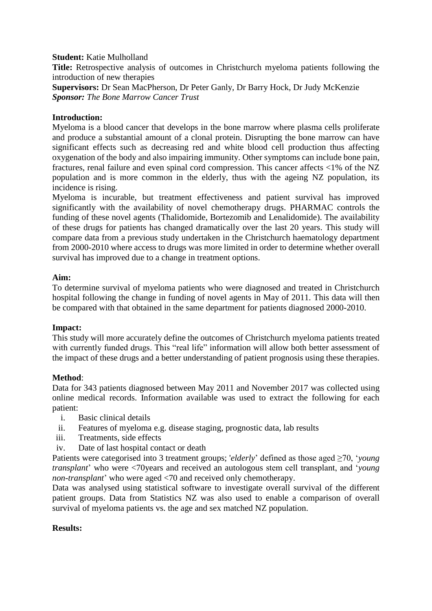#### **Student:** Katie Mulholland

**Title:** Retrospective analysis of outcomes in Christchurch myeloma patients following the introduction of new therapies

**Supervisors:** Dr Sean MacPherson, Dr Peter Ganly, Dr Barry Hock, Dr Judy McKenzie *Sponsor: The Bone Marrow Cancer Trust*

### **Introduction:**

Myeloma is a blood cancer that develops in the bone marrow where plasma cells proliferate and produce a substantial amount of a clonal protein. Disrupting the bone marrow can have significant effects such as decreasing red and white blood cell production thus affecting oxygenation of the body and also impairing immunity. Other symptoms can include bone pain, fractures, renal failure and even spinal cord compression. This cancer affects <1% of the NZ population and is more common in the elderly, thus with the ageing NZ population, its incidence is rising.

Myeloma is incurable, but treatment effectiveness and patient survival has improved significantly with the availability of novel chemotherapy drugs. PHARMAC controls the funding of these novel agents (Thalidomide, Bortezomib and Lenalidomide). The availability of these drugs for patients has changed dramatically over the last 20 years. This study will compare data from a previous study undertaken in the Christchurch haematology department from 2000-2010 where access to drugs was more limited in order to determine whether overall survival has improved due to a change in treatment options.

### **Aim:**

To determine survival of myeloma patients who were diagnosed and treated in Christchurch hospital following the change in funding of novel agents in May of 2011. This data will then be compared with that obtained in the same department for patients diagnosed 2000-2010.

# **Impact:**

This study will more accurately define the outcomes of Christchurch myeloma patients treated with currently funded drugs. This "real life" information will allow both better assessment of the impact of these drugs and a better understanding of patient prognosis using these therapies.

# **Method**:

Data for 343 patients diagnosed between May 2011 and November 2017 was collected using online medical records. Information available was used to extract the following for each patient:

- i. Basic clinical details
- ii. Features of myeloma e.g. disease staging, prognostic data, lab results
- iii. Treatments, side effects
- iv. Date of last hospital contact or death

Patients were categorised into 3 treatment groups; '*elderly*' defined as those aged ≥70, '*young transplant*' who were <70years and received an autologous stem cell transplant, and '*young non-transplant*' who were aged <70 and received only chemotherapy.

Data was analysed using statistical software to investigate overall survival of the different patient groups. Data from Statistics NZ was also used to enable a comparison of overall survival of myeloma patients vs. the age and sex matched NZ population.

# **Results:**